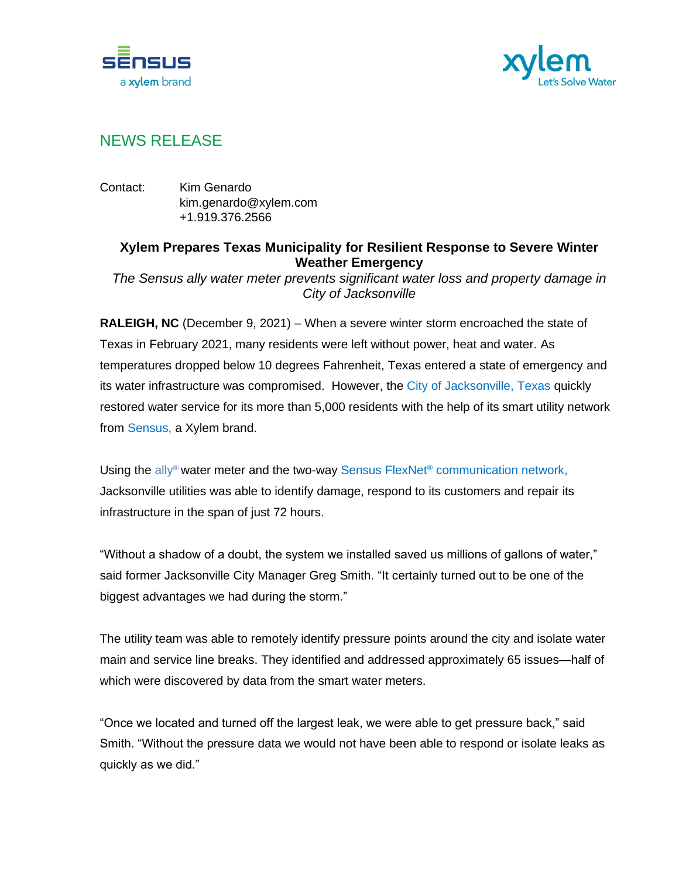



## NEWS RELEASE

Contact: Kim Genardo kim.genardo@xylem.com +1.919.376.2566

## **Xylem Prepares Texas Municipality for Resilient Response to Severe Winter Weather Emergency**

*The Sensus ally water meter prevents significant water loss and property damage in City of Jacksonville*

**RALEIGH, NC** (December 9, 2021) – When a severe winter storm encroached the state of Texas in February 2021, many residents were left without power, heat and water. As temperatures dropped below 10 degrees Fahrenheit, Texas entered a state of emergency and its water infrastructure was compromised. However, the [City of Jacksonville, Texas](https://www.jacksonvilletx.org/220/Water-Sewer-Utilities) quickly restored water service for its more than 5,000 residents with the help of its smart utility network from [Sensus,](https://sensus.com/) a Xylem brand.

Using the [ally](https://sensus.com/products/ally-water-meters/)<sup>®</sup> water meter and the two-way Sensus FlexNet<sup>®</sup> [communication network,](https://sensus.com/resources/flexnet-resource-center/) Jacksonville utilities was able to identify damage, respond to its customers and repair its infrastructure in the span of just 72 hours.

"Without a shadow of a doubt, the system we installed saved us millions of gallons of water," said former Jacksonville City Manager Greg Smith. "It certainly turned out to be one of the biggest advantages we had during the storm."

The utility team was able to remotely identify pressure points around the city and isolate water main and service line breaks. They identified and addressed approximately 65 issues—half of which were discovered by data from the smart water meters.

"Once we located and turned off the largest leak, we were able to get pressure back," said Smith. "Without the pressure data we would not have been able to respond or isolate leaks as quickly as we did."